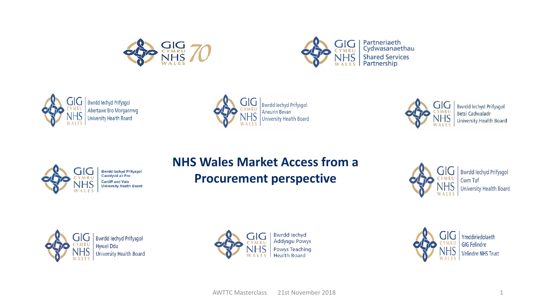









Bwrdd Iechyd Prifysgol<br>Betsi Cadwaladr **University Health Board** 



#### **NHS Wales Market Access from a Procurement perspective**



**Bwrdd lechyd Prifysgol** Cwm Taf **University Health Board** 





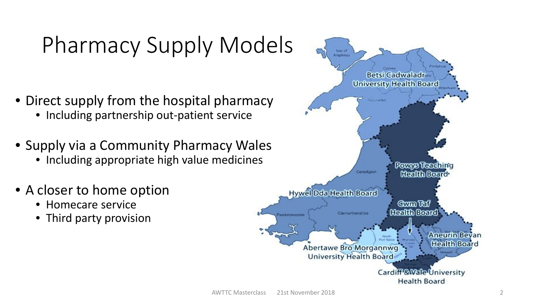# Pharmacy Supply Models

- Direct supply from the hospital pharmacy
	- Including partnership out-patient service
- Supply via a Community Pharmacy Wales
	- Including appropriate high value medicines
- A closer to home option
	- Homecare service
	- Third party provision

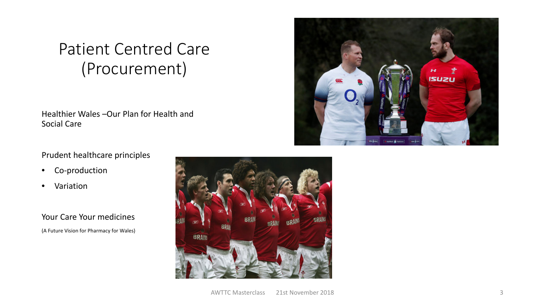### Patient Centred Care (Procurement)

Healthier Wales –Our Plan for Health and Social Care

#### Prudent healthcare principles

- Co-production
- Variation

Your Care Your medicines (A Future Vision for Pharmacy for Wales)



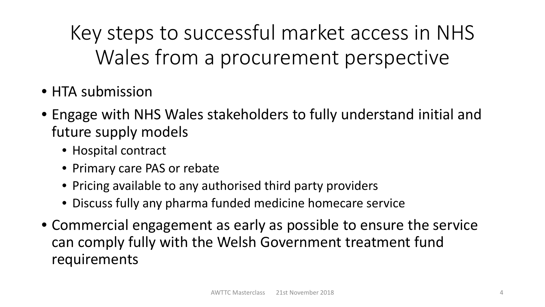Key steps to successful market access in NHS Wales from a procurement perspective

- HTA submission
- Engage with NHS Wales stakeholders to fully understand initial and future supply models
	- Hospital contract
	- Primary care PAS or rebate
	- Pricing available to any authorised third party providers
	- Discuss fully any pharma funded medicine homecare service
- Commercial engagement as early as possible to ensure the service can comply fully with the Welsh Government treatment fund requirements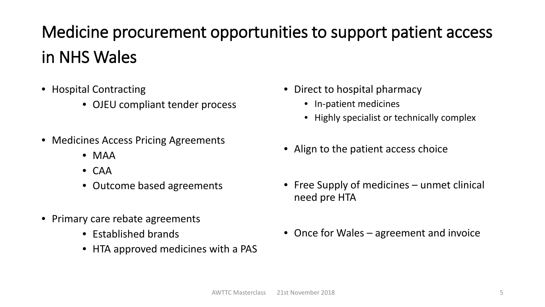## Medicine procurement opportunities to support patient access in NHS Wales

- Hospital Contracting
	- OJEU compliant tender process
- Medicines Access Pricing Agreements
	- MAA
	- CAA
	- Outcome based agreements
- Primary care rebate agreements
	- Established brands
	- HTA approved medicines with a PAS
- Direct to hospital pharmacy
	- In-patient medicines
	- Highly specialist or technically complex
- Align to the patient access choice
- Free Supply of medicines unmet clinical need pre HTA
- Once for Wales agreement and invoice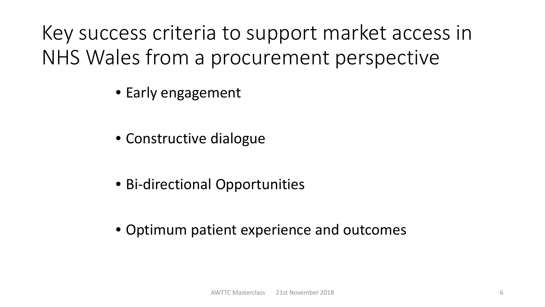Key success criteria to support market access in NHS Wales from a procurement perspective

- Early engagement
- Constructive dialogue
- Bi-directional Opportunities
- Optimum patient experience and outcomes